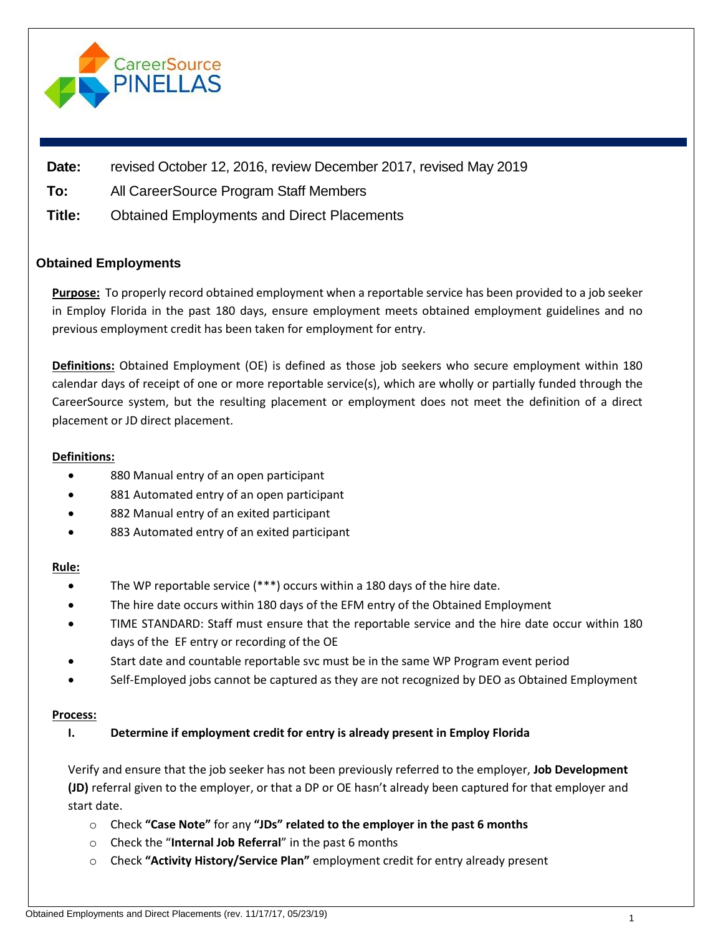

| Date: | revised October 12, 2016, review December 2017, revised May 2019 |
|-------|------------------------------------------------------------------|
|-------|------------------------------------------------------------------|

**To:** All CareerSource Program Staff Members

**Title:** Obtained Employments and Direct Placements

# **Obtained Employments**

**Purpose:** To properly record obtained employment when a reportable service has been provided to a job seeker in Employ Florida in the past 180 days, ensure employment meets obtained employment guidelines and no previous employment credit has been taken for employment for entry.

**Definitions:** Obtained Employment (OE) is defined as those job seekers who secure employment within 180 calendar days of receipt of one or more reportable service(s), which are wholly or partially funded through the CareerSource system, but the resulting placement or employment does not meet the definition of a direct placement or JD direct placement.

## **Definitions:**

- 880 Manual entry of an open participant
- 881 Automated entry of an open participant
- 882 Manual entry of an exited participant
- 883 Automated entry of an exited participant

#### **Rule:**

- The WP reportable service (\*\*\*) occurs within a 180 days of the hire date.
- The hire date occurs within 180 days of the EFM entry of the Obtained Employment
- TIME STANDARD: Staff must ensure that the reportable service and the hire date occur within 180 days of the EF entry or recording of the OE
- Start date and countable reportable svc must be in the same WP Program event period
- Self-Employed jobs cannot be captured as they are not recognized by DEO as Obtained Employment

#### **Process:**

# **I. Determine if employment credit for entry is already present in Employ Florida**

Verify and ensure that the job seeker has not been previously referred to the employer, **Job Development (JD)** referral given to the employer, or that a DP or OE hasn't already been captured for that employer and start date.

- o Check **"Case Note"** for any **"JDs" related to the employer in the past 6 months**
- o Check the "**Internal Job Referral**" in the past 6 months
- o Check **"Activity History/Service Plan"** employment credit for entry already present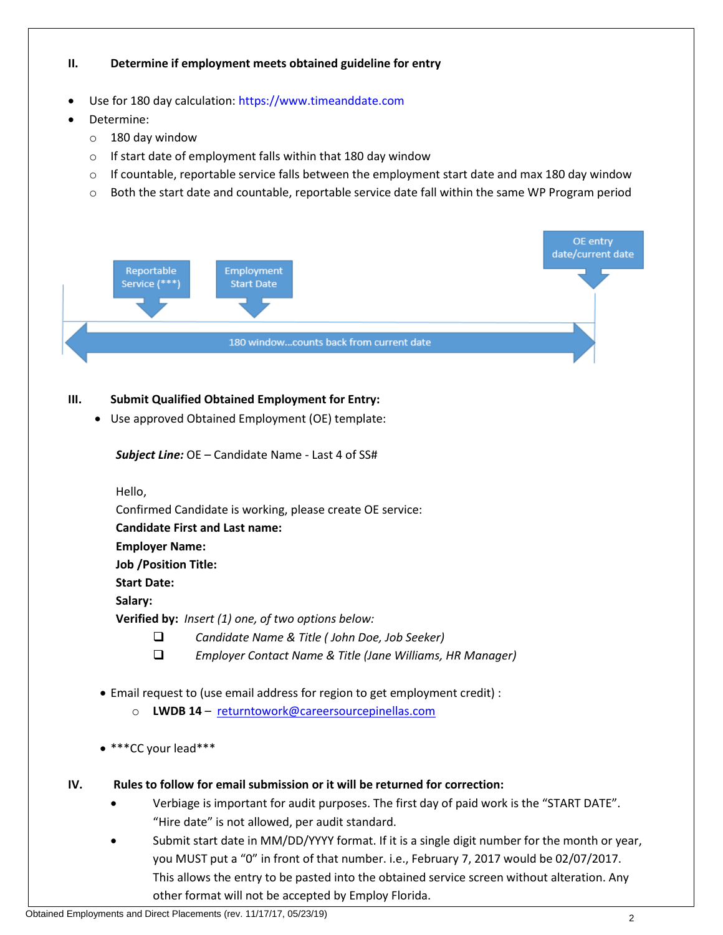## **II. Determine if employment meets obtained guideline for entry**

- Use for 180 day calculation: [https://www.timeanddate.com](https://www.timeanddate.com/)
- Determine:
	- o 180 day window
	- o If start date of employment falls within that 180 day window
	- $\circ$  If countable, reportable service falls between the employment start date and max 180 day window
	- o Both the start date and countable, reportable service date fall within the same WP Program period



## **III. Submit Qualified Obtained Employment for Entry:**

• Use approved Obtained Employment (OE) template:

*Subject Line:* OE – Candidate Name - Last 4 of SS#

Hello,

Confirmed Candidate is working, please create OE service:

**Candidate First and Last name:**

**Employer Name:**

**Job /Position Title:**

**Start Date:**

**Salary:**

**Verified by:** *Insert (1) one, of two options below:*

- *Candidate Name & Title ( John Doe, Job Seeker)*
- *Employer Contact Name & Title (Jane Williams, HR Manager)*
- Email request to (use email address for region to get employment credit) :
	- o **LWDB 14**  [returntowork@careersourcepinellas.com](mailto:returntowork@careersourcepinellas.com)
- \*\*\*CC your lead\*\*\*
- **IV. Rules to follow for email submission or it will be returned for correction:**
	- Verbiage is important for audit purposes. The first day of paid work is the "START DATE". "Hire date" is not allowed, per audit standard.
	- Submit start date in MM/DD/YYYY format. If it is a single digit number for the month or year, you MUST put a "0" in front of that number. i.e., February 7, 2017 would be 02/07/2017. This allows the entry to be pasted into the obtained service screen without alteration. Any other format will not be accepted by Employ Florida.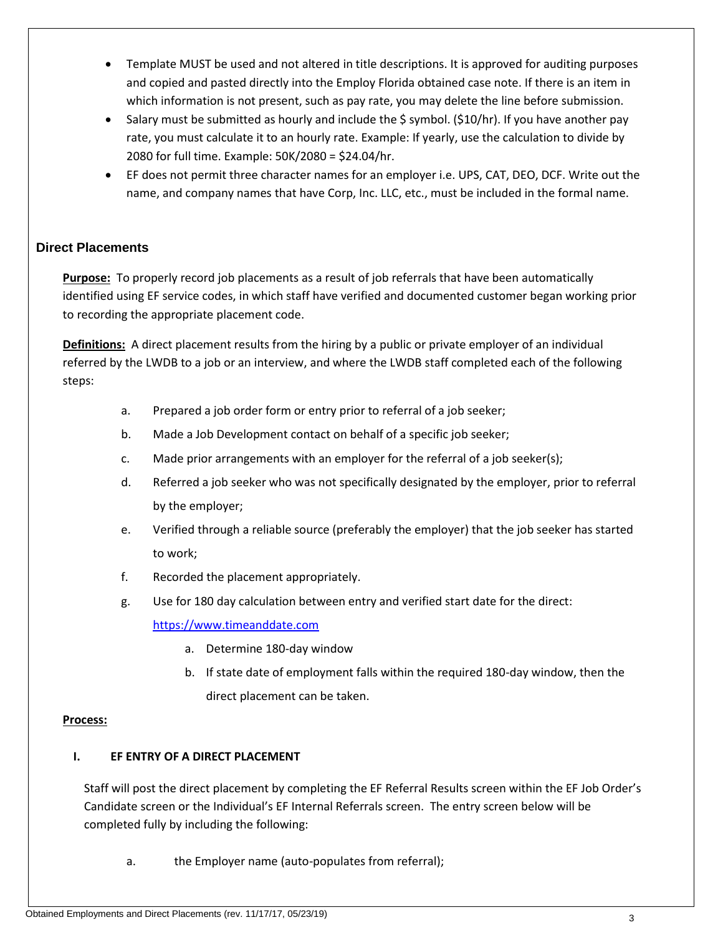- Template MUST be used and not altered in title descriptions. It is approved for auditing purposes and copied and pasted directly into the Employ Florida obtained case note. If there is an item in which information is not present, such as pay rate, you may delete the line before submission.
- Salary must be submitted as hourly and include the \$ symbol. (\$10/hr). If you have another pay rate, you must calculate it to an hourly rate. Example: If yearly, use the calculation to divide by 2080 for full time. Example: 50K/2080 = \$24.04/hr.
- EF does not permit three character names for an employer i.e. UPS, CAT, DEO, DCF. Write out the name, and company names that have Corp, Inc. LLC, etc., must be included in the formal name.

# **Direct Placements**

**Purpose:** To properly record job placements as a result of job referrals that have been automatically identified using EF service codes, in which staff have verified and documented customer began working prior to recording the appropriate placement code.

**Definitions:** A direct placement results from the hiring by a public or private employer of an individual referred by the LWDB to a job or an interview, and where the LWDB staff completed each of the following steps:

- a. Prepared a job order form or entry prior to referral of a job seeker;
- b. Made a Job Development contact on behalf of a specific job seeker;
- c. Made prior arrangements with an employer for the referral of a job seeker(s);
- d. Referred a job seeker who was not specifically designated by the employer, prior to referral by the employer;
- e. Verified through a reliable source (preferably the employer) that the job seeker has started to work;
- f. Recorded the placement appropriately.
- g. Use for 180 day calculation between entry and verified start date for the direct:

[https://www.timeanddate.com](https://www.timeanddate.com/) 

- a. Determine 180-day window
- b. If state date of employment falls within the required 180-day window, then the direct placement can be taken.

# **Process:**

# **I. EF ENTRY OF A DIRECT PLACEMENT**

Staff will post the direct placement by completing the EF Referral Results screen within the EF Job Order's Candidate screen or the Individual's EF Internal Referrals screen. The entry screen below will be completed fully by including the following:

a. the Employer name (auto-populates from referral);